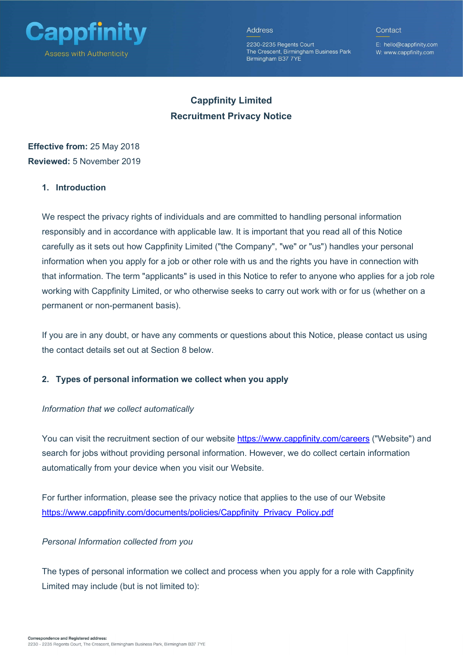

2230-2235 Regents Court The Crescent, Birmingham Business Park Birmingham B37 7YE

E: hello@cappfinity.com W: www.cappfinity.com

Contact

# Cappfinity Limited Recruitment Privacy Notice

## Effective from: 25 May 2018 Reviewed: 5 November 2019

## 1. Introduction

We respect the privacy rights of individuals and are committed to handling personal information responsibly and in accordance with applicable law. It is important that you read all of this Notice carefully as it sets out how Cappfinity Limited ("the Company", "we" or "us") handles your personal information when you apply for a job or other role with us and the rights you have in connection with that information. The term "applicants" is used in this Notice to refer to anyone who applies for a job role working with Cappfinity Limited, or who otherwise seeks to carry out work with or for us (whether on a permanent or non-permanent basis).

If you are in any doubt, or have any comments or questions about this Notice, please contact us using the contact details set out at Section 8 below.

#### 2. Types of personal information we collect when you apply

#### Information that we collect automatically

You can visit the recruitment section of our website https://www.cappfinity.com/careers ("Website") and search for jobs without providing personal information. However, we do collect certain information automatically from your device when you visit our Website.

For further information, please see the privacy notice that applies to the use of our Website https://www.cappfinity.com/documents/policies/Cappfinity\_Privacy\_Policy.pdf

## Personal Information collected from you

The types of personal information we collect and process when you apply for a role with Cappfinity Limited may include (but is not limited to):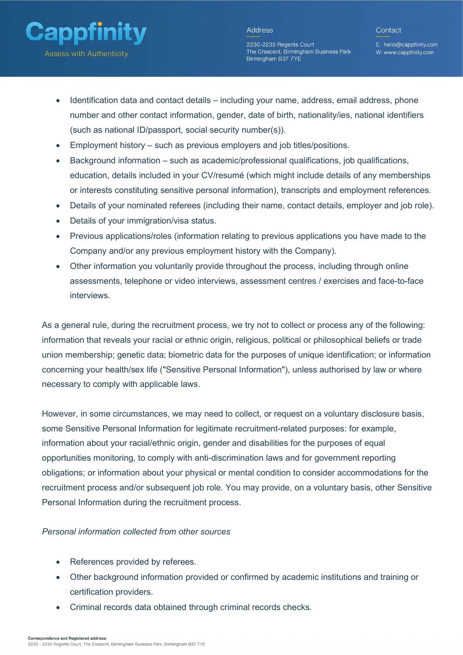

2230-2235 Regents Court The Crescent. Birmingham Business Park Birmingham B37 7YE

E: hello@cappfinity.com W: www.cappfinity.com

- Identification data and contact details including your name, address, email address, phone number and other contact information, gender, date of birth, nationality/ies, national identifiers (such as national ID/passport, social security number(s)).
- Employment history such as previous employers and job titles/positions.
- Background information such as academic/professional qualifications, job qualifications, education, details included in your CV/resumé (which might include details of any memberships or interests constituting sensitive personal information), transcripts and employment references.
- Details of your nominated referees (including their name, contact details, employer and job role).
- Details of your immigration/visa status.
- Previous applications/roles (information relating to previous applications you have made to the Company and/or any previous employment history with the Company).
- Other information you voluntarily provide throughout the process, including through online assessments, telephone or video interviews, assessment centres / exercises and face-to-face interviews.

As a general rule, during the recruitment process, we try not to collect or process any of the following: information that reveals your racial or ethnic origin, religious, political or philosophical beliefs or trade union membership; genetic data; biometric data for the purposes of unique identification; or information concerning your health/sex life ("Sensitive Personal Information"), unless authorised by law or where necessary to comply with applicable laws.

However, in some circumstances, we may need to collect, or request on a voluntary disclosure basis, some Sensitive Personal Information for legitimate recruitment-related purposes: for example, information about your racial/ethnic origin, gender and disabilities for the purposes of equal opportunities monitoring, to comply with anti-discrimination laws and for government reporting obligations; or information about your physical or mental condition to consider accommodations for the recruitment process and/or subsequent job role. You may provide, on a voluntary basis, other Sensitive Personal Information during the recruitment process.

#### Personal information collected from other sources

- References provided by referees.
- Other background information provided or confirmed by academic institutions and training or certification providers.
- Criminal records data obtained through criminal records checks.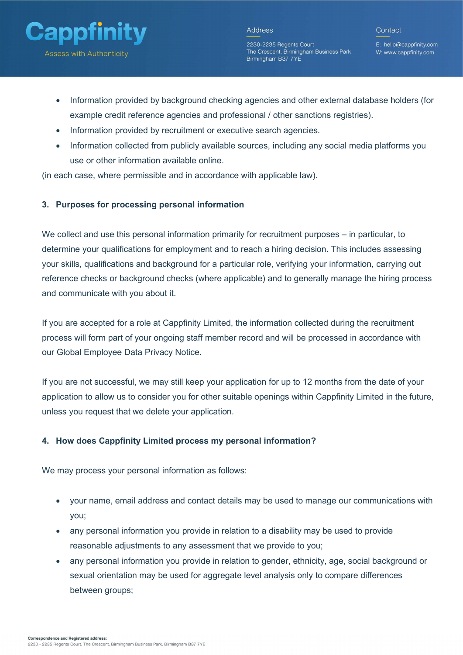

2230-2235 Regents Court The Crescent, Birmingham Business Park Birmingham B37 7YE

E: hello@cappfinity.com W: www.cappfinity.com

- Information provided by background checking agencies and other external database holders (for example credit reference agencies and professional / other sanctions registries).
- Information provided by recruitment or executive search agencies.
- Information collected from publicly available sources, including any social media platforms you use or other information available online.

(in each case, where permissible and in accordance with applicable law).

## 3. Purposes for processing personal information

We collect and use this personal information primarily for recruitment purposes – in particular, to determine your qualifications for employment and to reach a hiring decision. This includes assessing your skills, qualifications and background for a particular role, verifying your information, carrying out reference checks or background checks (where applicable) and to generally manage the hiring process and communicate with you about it.

If you are accepted for a role at Cappfinity Limited, the information collected during the recruitment process will form part of your ongoing staff member record and will be processed in accordance with our Global Employee Data Privacy Notice.

If you are not successful, we may still keep your application for up to 12 months from the date of your application to allow us to consider you for other suitable openings within Cappfinity Limited in the future, unless you request that we delete your application.

## 4. How does Cappfinity Limited process my personal information?

We may process your personal information as follows:

- your name, email address and contact details may be used to manage our communications with you;
- any personal information you provide in relation to a disability may be used to provide reasonable adjustments to any assessment that we provide to you;
- any personal information you provide in relation to gender, ethnicity, age, social background or sexual orientation may be used for aggregate level analysis only to compare differences between groups;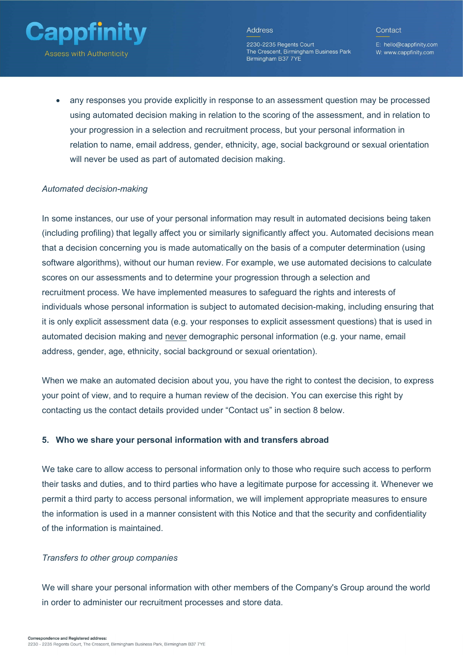

2230-2235 Regents Court The Crescent, Birmingham Business Park Birmingham B37 7YE

E: hello@cappfinity.com W: www.cappfinity.com

Contact

 any responses you provide explicitly in response to an assessment question may be processed using automated decision making in relation to the scoring of the assessment, and in relation to your progression in a selection and recruitment process, but your personal information in relation to name, email address, gender, ethnicity, age, social background or sexual orientation will never be used as part of automated decision making.

#### Automated decision-making

In some instances, our use of your personal information may result in automated decisions being taken (including profiling) that legally affect you or similarly significantly affect you. Automated decisions mean that a decision concerning you is made automatically on the basis of a computer determination (using software algorithms), without our human review. For example, we use automated decisions to calculate scores on our assessments and to determine your progression through a selection and recruitment process. We have implemented measures to safeguard the rights and interests of individuals whose personal information is subject to automated decision-making, including ensuring that it is only explicit assessment data (e.g. your responses to explicit assessment questions) that is used in automated decision making and never demographic personal information (e.g. your name, email address, gender, age, ethnicity, social background or sexual orientation).

When we make an automated decision about you, you have the right to contest the decision, to express your point of view, and to require a human review of the decision. You can exercise this right by contacting us the contact details provided under "Contact us" in section 8 below.

#### 5. Who we share your personal information with and transfers abroad

We take care to allow access to personal information only to those who require such access to perform their tasks and duties, and to third parties who have a legitimate purpose for accessing it. Whenever we permit a third party to access personal information, we will implement appropriate measures to ensure the information is used in a manner consistent with this Notice and that the security and confidentiality of the information is maintained.

#### Transfers to other group companies

We will share your personal information with other members of the Company's Group around the world in order to administer our recruitment processes and store data.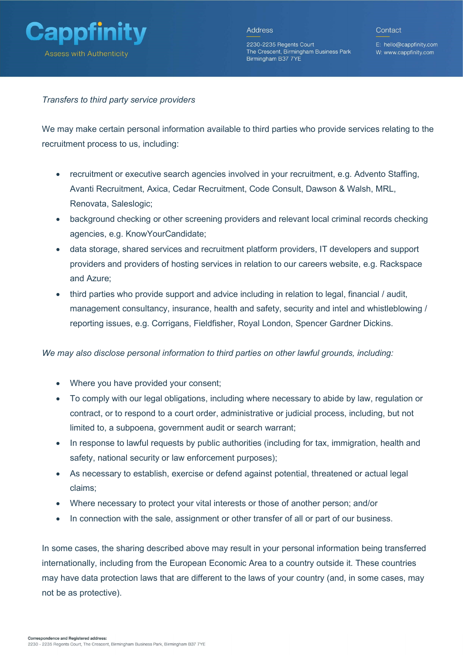

2230-2235 Regents Court The Crescent, Birmingham Business Park Birmingham B37 7YE

E: hello@cappfinity.com W: www.cappfinity.com

Transfers to third party service providers

We may make certain personal information available to third parties who provide services relating to the recruitment process to us, including:

- recruitment or executive search agencies involved in your recruitment, e.g. Advento Staffing, Avanti Recruitment, Axica, Cedar Recruitment, Code Consult, Dawson & Walsh, MRL, Renovata, Saleslogic;
- background checking or other screening providers and relevant local criminal records checking agencies, e.g. KnowYourCandidate;
- data storage, shared services and recruitment platform providers, IT developers and support providers and providers of hosting services in relation to our careers website, e.g. Rackspace and Azure;
- third parties who provide support and advice including in relation to legal, financial / audit, management consultancy, insurance, health and safety, security and intel and whistleblowing / reporting issues, e.g. Corrigans, Fieldfisher, Royal London, Spencer Gardner Dickins.

We may also disclose personal information to third parties on other lawful grounds, including:

- Where you have provided your consent;
- To comply with our legal obligations, including where necessary to abide by law, regulation or contract, or to respond to a court order, administrative or judicial process, including, but not limited to, a subpoena, government audit or search warrant;
- In response to lawful requests by public authorities (including for tax, immigration, health and safety, national security or law enforcement purposes);
- As necessary to establish, exercise or defend against potential, threatened or actual legal claims;
- Where necessary to protect your vital interests or those of another person; and/or
- In connection with the sale, assignment or other transfer of all or part of our business.

In some cases, the sharing described above may result in your personal information being transferred internationally, including from the European Economic Area to a country outside it. These countries may have data protection laws that are different to the laws of your country (and, in some cases, may not be as protective).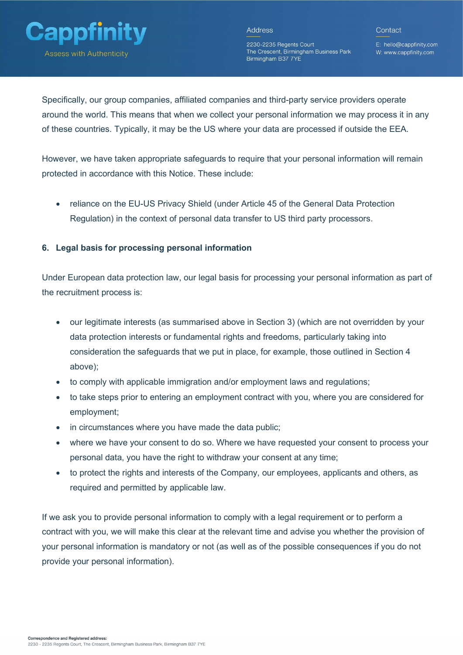

Contact

2230-2235 Regents Court The Crescent, Birmingham Business Park Birmingham B37 7YE

E: hello@cappfinity.com W: www.cappfinity.com

Specifically, our group companies, affiliated companies and third-party service providers operate around the world. This means that when we collect your personal information we may process it in any of these countries. Typically, it may be the US where your data are processed if outside the EEA.

However, we have taken appropriate safeguards to require that your personal information will remain protected in accordance with this Notice. These include:

 reliance on the EU-US Privacy Shield (under Article 45 of the General Data Protection Regulation) in the context of personal data transfer to US third party processors.

## 6. Legal basis for processing personal information

Under European data protection law, our legal basis for processing your personal information as part of the recruitment process is:

- our legitimate interests (as summarised above in Section 3) (which are not overridden by your data protection interests or fundamental rights and freedoms, particularly taking into consideration the safeguards that we put in place, for example, those outlined in Section 4 above);
- to comply with applicable immigration and/or employment laws and regulations;
- to take steps prior to entering an employment contract with you, where you are considered for employment;
- in circumstances where you have made the data public;
- where we have your consent to do so. Where we have requested your consent to process your personal data, you have the right to withdraw your consent at any time;
- to protect the rights and interests of the Company, our employees, applicants and others, as required and permitted by applicable law.

If we ask you to provide personal information to comply with a legal requirement or to perform a contract with you, we will make this clear at the relevant time and advise you whether the provision of your personal information is mandatory or not (as well as of the possible consequences if you do not provide your personal information).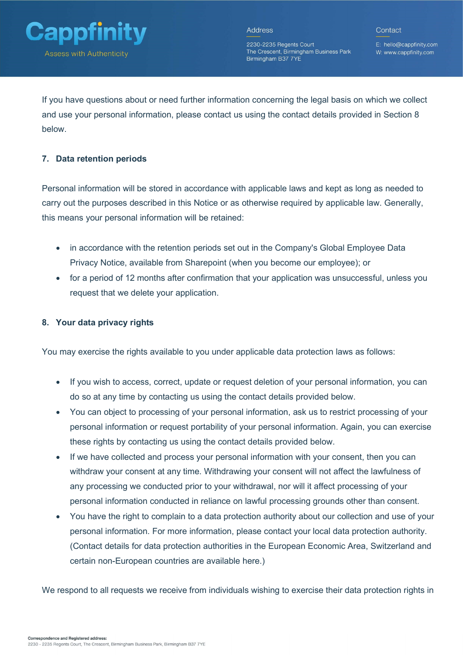

2230-2235 Regents Court The Crescent, Birmingham Business Park Birmingham B37 7YE

E: hello@cappfinity.com W: www.cappfinity.com

If you have questions about or need further information concerning the legal basis on which we collect and use your personal information, please contact us using the contact details provided in Section 8 below.

## 7. Data retention periods

Personal information will be stored in accordance with applicable laws and kept as long as needed to carry out the purposes described in this Notice or as otherwise required by applicable law. Generally, this means your personal information will be retained:

- in accordance with the retention periods set out in the Company's Global Employee Data Privacy Notice, available from Sharepoint (when you become our employee); or
- for a period of 12 months after confirmation that your application was unsuccessful, unless you request that we delete your application.

## 8. Your data privacy rights

You may exercise the rights available to you under applicable data protection laws as follows:

- If you wish to access, correct, update or request deletion of your personal information, you can do so at any time by contacting us using the contact details provided below.
- You can object to processing of your personal information, ask us to restrict processing of your personal information or request portability of your personal information. Again, you can exercise these rights by contacting us using the contact details provided below.
- If we have collected and process your personal information with your consent, then you can withdraw your consent at any time. Withdrawing your consent will not affect the lawfulness of any processing we conducted prior to your withdrawal, nor will it affect processing of your personal information conducted in reliance on lawful processing grounds other than consent.
- You have the right to complain to a data protection authority about our collection and use of your personal information. For more information, please contact your local data protection authority. (Contact details for data protection authorities in the European Economic Area, Switzerland and certain non-European countries are available here.)

We respond to all requests we receive from individuals wishing to exercise their data protection rights in